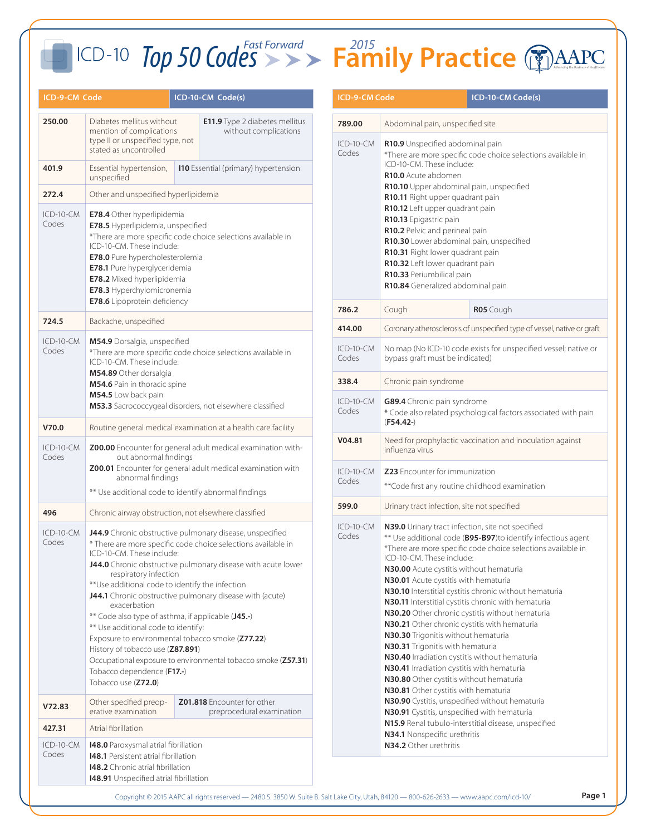| ICD-9-CM Code                                                                                                                               |                                                                                                                                                                                                                                                                                                                                                                                                                                                                                                                                                                                                                                                                                                                                                                                                               | ICD-10-CM Code(s)                                              |                                                              | <b>ICD-9-CM Code</b>                                                                                                                                                                                                                                                                                                                                                                                                                                                                                                                                                                                                                                                                                                                                                                          |                                                                                                                                                                                                                                                                                  | ICD-10-CM Code(s) |
|---------------------------------------------------------------------------------------------------------------------------------------------|---------------------------------------------------------------------------------------------------------------------------------------------------------------------------------------------------------------------------------------------------------------------------------------------------------------------------------------------------------------------------------------------------------------------------------------------------------------------------------------------------------------------------------------------------------------------------------------------------------------------------------------------------------------------------------------------------------------------------------------------------------------------------------------------------------------|----------------------------------------------------------------|--------------------------------------------------------------|-----------------------------------------------------------------------------------------------------------------------------------------------------------------------------------------------------------------------------------------------------------------------------------------------------------------------------------------------------------------------------------------------------------------------------------------------------------------------------------------------------------------------------------------------------------------------------------------------------------------------------------------------------------------------------------------------------------------------------------------------------------------------------------------------|----------------------------------------------------------------------------------------------------------------------------------------------------------------------------------------------------------------------------------------------------------------------------------|-------------------|
| Diabetes mellitus without<br>250.00<br>mention of complications                                                                             |                                                                                                                                                                                                                                                                                                                                                                                                                                                                                                                                                                                                                                                                                                                                                                                                               | <b>E11.9</b> Type 2 diabetes mellitus<br>without complications | 789.00                                                       | Abdominal pain, unspecified site                                                                                                                                                                                                                                                                                                                                                                                                                                                                                                                                                                                                                                                                                                                                                              |                                                                                                                                                                                                                                                                                  |                   |
|                                                                                                                                             | type II or unspecified type, not<br>stated as uncontrolled                                                                                                                                                                                                                                                                                                                                                                                                                                                                                                                                                                                                                                                                                                                                                    |                                                                |                                                              | ICD-10-CM<br>Codes                                                                                                                                                                                                                                                                                                                                                                                                                                                                                                                                                                                                                                                                                                                                                                            | R10.9 Unspecified abdominal pain<br>*There are more specific code choice selectior                                                                                                                                                                                               |                   |
| 401.9                                                                                                                                       | Essential hypertension,<br>unspecified                                                                                                                                                                                                                                                                                                                                                                                                                                                                                                                                                                                                                                                                                                                                                                        |                                                                | <b>110</b> Essential (primary) hypertension                  | ICD-10-CM. These include:<br>R10.0 Acute abdomen                                                                                                                                                                                                                                                                                                                                                                                                                                                                                                                                                                                                                                                                                                                                              |                                                                                                                                                                                                                                                                                  |                   |
| 272.4                                                                                                                                       | Other and unspecified hyperlipidemia                                                                                                                                                                                                                                                                                                                                                                                                                                                                                                                                                                                                                                                                                                                                                                          |                                                                |                                                              |                                                                                                                                                                                                                                                                                                                                                                                                                                                                                                                                                                                                                                                                                                                                                                                               | R10.10 Upper abdominal pain, unspecified<br>R10.11 Right upper quadrant pain                                                                                                                                                                                                     |                   |
| $ICD-10-CM$<br>Codes                                                                                                                        | E78.4 Other hyperlipidemia<br>E78.5 Hyperlipidemia, unspecified<br>*There are more specific code choice selections available in<br>ICD-10-CM. These include:<br><b>E78.0</b> Pure hypercholesterolemia<br><b>E78.1</b> Pure hyperglyceridemia<br><b>E78.2</b> Mixed hyperlipidemia<br>E78.3 Hyperchylomicronemia<br>E78.6 Lipoprotein deficiency                                                                                                                                                                                                                                                                                                                                                                                                                                                              |                                                                |                                                              |                                                                                                                                                                                                                                                                                                                                                                                                                                                                                                                                                                                                                                                                                                                                                                                               | R10.12 Left upper quadrant pain<br>R10.13 Epigastric pain<br>R10.2 Pelvic and perineal pain<br>R10.30 Lower abdominal pain, unspecified<br>R10.31 Right lower quadrant pain<br>R10.32 Left lower quadrant pain<br>R10.33 Periumbilical pain<br>R10.84 Generalized abdominal pain |                   |
|                                                                                                                                             |                                                                                                                                                                                                                                                                                                                                                                                                                                                                                                                                                                                                                                                                                                                                                                                                               |                                                                |                                                              | 786.2                                                                                                                                                                                                                                                                                                                                                                                                                                                                                                                                                                                                                                                                                                                                                                                         | Cough                                                                                                                                                                                                                                                                            | R05 Cough         |
| 724.5                                                                                                                                       | Backache, unspecified                                                                                                                                                                                                                                                                                                                                                                                                                                                                                                                                                                                                                                                                                                                                                                                         |                                                                |                                                              | 414.00                                                                                                                                                                                                                                                                                                                                                                                                                                                                                                                                                                                                                                                                                                                                                                                        | Coronary atherosclerosis of unspecified type of ve                                                                                                                                                                                                                               |                   |
| $ICD-10-CM$<br>M54.9 Dorsalgia, unspecified<br>Codes<br>ICD-10-CM. These include:<br>M54.89 Other dorsalgia<br>M54.6 Pain in thoracic spine |                                                                                                                                                                                                                                                                                                                                                                                                                                                                                                                                                                                                                                                                                                                                                                                                               |                                                                | *There are more specific code choice selections available in | ICD-10-CM<br>Codes                                                                                                                                                                                                                                                                                                                                                                                                                                                                                                                                                                                                                                                                                                                                                                            | No map (No ICD-10 code exists for unspecified<br>bypass graft must be indicated)                                                                                                                                                                                                 |                   |
|                                                                                                                                             |                                                                                                                                                                                                                                                                                                                                                                                                                                                                                                                                                                                                                                                                                                                                                                                                               |                                                                |                                                              | 338.4                                                                                                                                                                                                                                                                                                                                                                                                                                                                                                                                                                                                                                                                                                                                                                                         | Chronic pain syndrome                                                                                                                                                                                                                                                            |                   |
|                                                                                                                                             | M54.5 Low back pain                                                                                                                                                                                                                                                                                                                                                                                                                                                                                                                                                                                                                                                                                                                                                                                           | M53.3 Sacrococcygeal disorders, not elsewhere classified       |                                                              |                                                                                                                                                                                                                                                                                                                                                                                                                                                                                                                                                                                                                                                                                                                                                                                               | G89.4 Chronic pain syndrome<br>* Code also related psychological factors asso<br>$(F54.42-)$                                                                                                                                                                                     |                   |
| V70.0                                                                                                                                       |                                                                                                                                                                                                                                                                                                                                                                                                                                                                                                                                                                                                                                                                                                                                                                                                               | Routine general medical examination at a health care facility  |                                                              | V04.81                                                                                                                                                                                                                                                                                                                                                                                                                                                                                                                                                                                                                                                                                                                                                                                        | Need for prophylactic vaccination and inocula                                                                                                                                                                                                                                    |                   |
| ICD-10-CM<br>Codes                                                                                                                          | Z00.00 Encounter for general adult medical examination with-<br>out abnormal findings<br>Z00.01 Encounter for general adult medical examination with<br>abnormal findings                                                                                                                                                                                                                                                                                                                                                                                                                                                                                                                                                                                                                                     |                                                                |                                                              | influenza virus                                                                                                                                                                                                                                                                                                                                                                                                                                                                                                                                                                                                                                                                                                                                                                               |                                                                                                                                                                                                                                                                                  |                   |
|                                                                                                                                             |                                                                                                                                                                                                                                                                                                                                                                                                                                                                                                                                                                                                                                                                                                                                                                                                               |                                                                | ICD-10-CM<br>Codes                                           | Z23 Encounter for immunization<br>** Code first any routine childhood examinatio                                                                                                                                                                                                                                                                                                                                                                                                                                                                                                                                                                                                                                                                                                              |                                                                                                                                                                                                                                                                                  |                   |
|                                                                                                                                             | ** Use additional code to identify abnormal findings                                                                                                                                                                                                                                                                                                                                                                                                                                                                                                                                                                                                                                                                                                                                                          |                                                                |                                                              | 599.0                                                                                                                                                                                                                                                                                                                                                                                                                                                                                                                                                                                                                                                                                                                                                                                         | Urinary tract infection, site not specified                                                                                                                                                                                                                                      |                   |
| 496                                                                                                                                         | Chronic airway obstruction, not elsewhere classified<br>J44.9 Chronic obstructive pulmonary disease, unspecified<br>* There are more specific code choice selections available in<br>ICD-10-CM. These include:<br>J44.0 Chronic obstructive pulmonary disease with acute lower<br>respiratory infection<br>** Use additional code to identify the infection<br>J44.1 Chronic obstructive pulmonary disease with (acute)<br>exacerbation<br>** Code also type of asthma, if applicable (J45.-)<br>** Use additional code to identify:<br>Exposure to environmental tobacco smoke (Z77.22)<br>History of tobacco use (Z87.891)<br>Occupational exposure to environmental tobacco smoke (Z57.31)<br>Tobacco dependence (F17 .- )<br>Tobacco use (Z72.0)<br>Z01.818 Encounter for other<br>Other specified preop- |                                                                | $ICD-10-CM$                                                  | N39.0 Urinary tract infection, site not specified<br>** Use additional code (B95-B97)to identify in<br>*There are more specific code choice selectior<br>ICD-10-CM. These include:<br>N30.00 Acute cystitis without hematuria<br>N30.01 Acute cystitis with hematuria<br>N30.10 Interstitial cystitis chronic without hen<br>N30.11 Interstitial cystitis chronic with hemature<br>N30.20 Other chronic cystitis without hematu<br>N30.21 Other chronic cystitis with hematuria<br>N30.30 Trigonitis without hematuria<br>N30.31 Trigonitis with hematuria<br>N30.40 Irradiation cystitis without hematuria<br>N30.41 Irradiation cystitis with hematuria<br>N30.80 Other cystitis without hematuria<br>N30.81 Other cystitis with hematuria<br>N30.90 Cystitis, unspecified without hematuri |                                                                                                                                                                                                                                                                                  |                   |
| $ICD-10-CM$<br>Codes<br>V72.83                                                                                                              |                                                                                                                                                                                                                                                                                                                                                                                                                                                                                                                                                                                                                                                                                                                                                                                                               |                                                                | Codes                                                        |                                                                                                                                                                                                                                                                                                                                                                                                                                                                                                                                                                                                                                                                                                                                                                                               |                                                                                                                                                                                                                                                                                  |                   |
|                                                                                                                                             | erative examination                                                                                                                                                                                                                                                                                                                                                                                                                                                                                                                                                                                                                                                                                                                                                                                           |                                                                | preprocedural examination                                    | N30.91 Cystitis, unspecified with hematuria<br>N15.9 Renal tubulo-interstitial disease, unspec                                                                                                                                                                                                                                                                                                                                                                                                                                                                                                                                                                                                                                                                                                |                                                                                                                                                                                                                                                                                  |                   |
| 427.31<br>ICD-10-CM                                                                                                                         | Atrial fibrillation                                                                                                                                                                                                                                                                                                                                                                                                                                                                                                                                                                                                                                                                                                                                                                                           |                                                                |                                                              |                                                                                                                                                                                                                                                                                                                                                                                                                                                                                                                                                                                                                                                                                                                                                                                               | N34.1 Nonspecific urethritis<br>N34.2 Other urethritis                                                                                                                                                                                                                           |                   |
| Codes                                                                                                                                       | 148.0 Paroxysmal atrial fibrillation<br>148.1 Persistent atrial fibrillation<br>148.2 Chronic atrial fibrillation<br>148.91 Unspecified atrial fibrillation                                                                                                                                                                                                                                                                                                                                                                                                                                                                                                                                                                                                                                                   |                                                                |                                                              |                                                                                                                                                                                                                                                                                                                                                                                                                                                                                                                                                                                                                                                                                                                                                                                               |                                                                                                                                                                                                                                                                                  |                   |

| <b>ICD-9-CM Code</b> |                                                                                                                                                                                                                                                                                                                                                                                                                                                                                                                                                                                                                                                                                                                                                                                                                                                                                                                                                                                                        | ICD-10-CM Code(s)                                                       |  |  |
|----------------------|--------------------------------------------------------------------------------------------------------------------------------------------------------------------------------------------------------------------------------------------------------------------------------------------------------------------------------------------------------------------------------------------------------------------------------------------------------------------------------------------------------------------------------------------------------------------------------------------------------------------------------------------------------------------------------------------------------------------------------------------------------------------------------------------------------------------------------------------------------------------------------------------------------------------------------------------------------------------------------------------------------|-------------------------------------------------------------------------|--|--|
| 789.00               | Abdominal pain, unspecified site                                                                                                                                                                                                                                                                                                                                                                                                                                                                                                                                                                                                                                                                                                                                                                                                                                                                                                                                                                       |                                                                         |  |  |
| ICD-10-CM<br>Codes   | R10.9 Unspecified abdominal pain<br>*There are more specific code choice selections available in<br>ICD-10-CM. These include:<br>R10.0 Acute abdomen<br>R10.10 Upper abdominal pain, unspecified<br>R10.11 Right upper quadrant pain<br>R10.12 Left upper quadrant pain<br>R10.13 Epigastric pain<br>R10.2 Pelvic and perineal pain<br>R10.30 Lower abdominal pain, unspecified<br>R10.31 Right lower quadrant pain<br>R10.32 Left lower quadrant pain<br>R10.33 Periumbilical pain<br>R10.84 Generalized abdominal pain                                                                                                                                                                                                                                                                                                                                                                                                                                                                               |                                                                         |  |  |
| 786.2                | Cough                                                                                                                                                                                                                                                                                                                                                                                                                                                                                                                                                                                                                                                                                                                                                                                                                                                                                                                                                                                                  | R05 Cough                                                               |  |  |
| 414.00               |                                                                                                                                                                                                                                                                                                                                                                                                                                                                                                                                                                                                                                                                                                                                                                                                                                                                                                                                                                                                        | Coronary atherosclerosis of unspecified type of vessel, native or graft |  |  |
| ICD-10-CM<br>Codes   | bypass graft must be indicated)                                                                                                                                                                                                                                                                                                                                                                                                                                                                                                                                                                                                                                                                                                                                                                                                                                                                                                                                                                        | No map (No ICD-10 code exists for unspecified vessel; native or         |  |  |
| 338.4                | Chronic pain syndrome                                                                                                                                                                                                                                                                                                                                                                                                                                                                                                                                                                                                                                                                                                                                                                                                                                                                                                                                                                                  |                                                                         |  |  |
| ICD-10-CM<br>Codes   | G89.4 Chronic pain syndrome<br>* Code also related psychological factors associated with pain<br>$(F54.42-)$                                                                                                                                                                                                                                                                                                                                                                                                                                                                                                                                                                                                                                                                                                                                                                                                                                                                                           |                                                                         |  |  |
| V04.81               | Need for prophylactic vaccination and inoculation against<br>influenza virus                                                                                                                                                                                                                                                                                                                                                                                                                                                                                                                                                                                                                                                                                                                                                                                                                                                                                                                           |                                                                         |  |  |
| ICD-10-CM<br>Codes   | <b>Z23</b> Encounter for immunization<br>** Code first any routine childhood examination                                                                                                                                                                                                                                                                                                                                                                                                                                                                                                                                                                                                                                                                                                                                                                                                                                                                                                               |                                                                         |  |  |
| 599.0                | Urinary tract infection, site not specified                                                                                                                                                                                                                                                                                                                                                                                                                                                                                                                                                                                                                                                                                                                                                                                                                                                                                                                                                            |                                                                         |  |  |
| ICD-10-CM<br>Codes   | N39.0 Urinary tract infection, site not specified<br>** Use additional code (B95-B97) to identify infectious agent<br>*There are more specific code choice selections available in<br>ICD-10-CM. These include:<br>N30.00 Acute cystitis without hematuria<br>N30.01 Acute cystitis with hematuria<br>N30.10 Interstitial cystitis chronic without hematuria<br>N30.11 Interstitial cystitis chronic with hematuria<br>N30.20 Other chronic cystitis without hematuria<br>N30.21 Other chronic cystitis with hematuria<br>N30.30 Trigonitis without hematuria<br>N30.31 Trigonitis with hematuria<br>N30.40 Irradiation cystitis without hematuria<br>N30.41 Irradiation cystitis with hematuria<br>N30.80 Other cystitis without hematuria<br>N30.81 Other cystitis with hematuria<br>N30.90 Cystitis, unspecified without hematuria<br>N30.91 Cystitis, unspecified with hematuria<br>N15.9 Renal tubulo-interstitial disease, unspecified<br>N34.1 Nonspecific urethritis<br>N34.2 Other urethritis |                                                                         |  |  |

Copyright © 2015 AAPC all rights reserved — 2480 S. 3850 W. Suite B. Salt Lake City, Utah, 84120 — 800-626-2633 — www.aapc.com/icd-10/ **Page 1**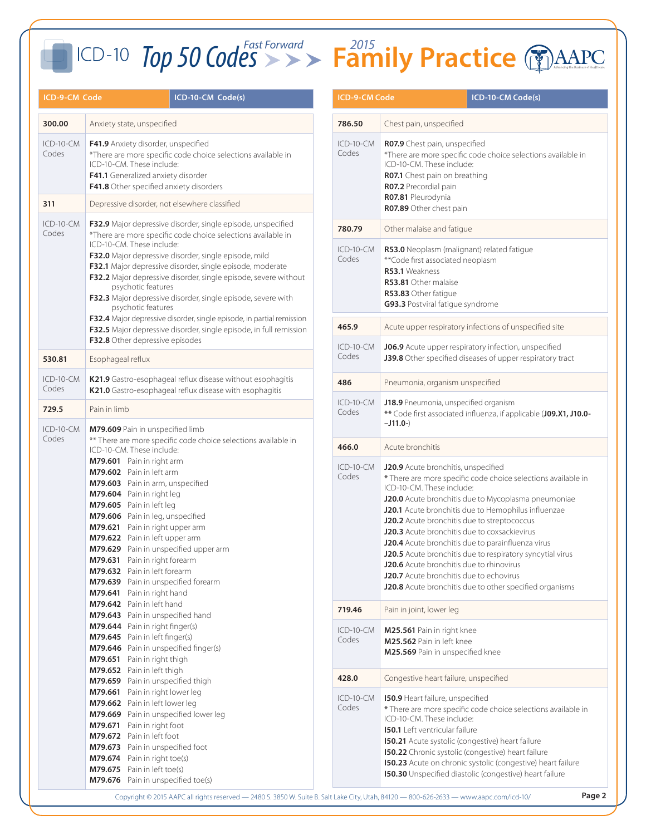| ICD-9-CM Code                                                                                                                                                                                                                                                                                                                                                                                                                                                           |                                                                                                                                                                                                                                                                    | ICD-10-CM Code(s)                                                                                                                           | <b>ICD-9-CM Code</b> |                                                                                                                                                                                                                                                                                                                                                                                                                                                                                                                                                                      | ICD-10-CM Code(s) |
|-------------------------------------------------------------------------------------------------------------------------------------------------------------------------------------------------------------------------------------------------------------------------------------------------------------------------------------------------------------------------------------------------------------------------------------------------------------------------|--------------------------------------------------------------------------------------------------------------------------------------------------------------------------------------------------------------------------------------------------------------------|---------------------------------------------------------------------------------------------------------------------------------------------|----------------------|----------------------------------------------------------------------------------------------------------------------------------------------------------------------------------------------------------------------------------------------------------------------------------------------------------------------------------------------------------------------------------------------------------------------------------------------------------------------------------------------------------------------------------------------------------------------|-------------------|
| 300.00                                                                                                                                                                                                                                                                                                                                                                                                                                                                  | Anxiety state, unspecified                                                                                                                                                                                                                                         |                                                                                                                                             | 786.50               | Chest pain, unspecified                                                                                                                                                                                                                                                                                                                                                                                                                                                                                                                                              |                   |
| $ICD-10-CM$<br>Codes<br>311                                                                                                                                                                                                                                                                                                                                                                                                                                             | F41.9 Anxiety disorder, unspecified<br>*There are more specific code choice selections available in<br>ICD-10-CM. These include:<br>F41.1 Generalized anxiety disorder<br>F41.8 Other specified anxiety disorders<br>Depressive disorder, not elsewhere classified |                                                                                                                                             | $ICD-10-CM$<br>Codes | R07.9 Chest pain, unspecified<br>*There are more specific code choice selectior<br>ICD-10-CM. These include:<br>R07.1 Chest pain on breathing<br>R07.2 Precordial pain<br>R07.81 Pleurodynia<br>R07.89 Other chest pain                                                                                                                                                                                                                                                                                                                                              |                   |
| $ICD-10-CM$                                                                                                                                                                                                                                                                                                                                                                                                                                                             | F32.9 Major depressive disorder, single episode, unspecified                                                                                                                                                                                                       |                                                                                                                                             | 780.79               | Other malaise and fatique                                                                                                                                                                                                                                                                                                                                                                                                                                                                                                                                            |                   |
| Codes<br>*There are more specific code choice selections available in<br>ICD-10-CM. These include:<br>F32.0 Major depressive disorder, single episode, mild<br>F32.1 Major depressive disorder, single episode, moderate<br>F32.2 Major depressive disorder, single episode, severe without<br>psychotic features<br>F32.3 Major depressive disorder, single episode, severe with<br>psychotic features                                                                 |                                                                                                                                                                                                                                                                    |                                                                                                                                             | ICD-10-CM<br>Codes   | R53.0 Neoplasm (malignant) related fatigue<br>** Code first associated neoplasm<br>R53.1 Weakness<br>R53.81 Other malaise<br>R53.83 Other fatique<br>G93.3 Postviral fatique syndrome                                                                                                                                                                                                                                                                                                                                                                                |                   |
|                                                                                                                                                                                                                                                                                                                                                                                                                                                                         |                                                                                                                                                                                                                                                                    | F32.4 Major depressive disorder, single episode, in partial remission<br>F32.5 Major depressive disorder, single episode, in full remission | 465.9                | Acute upper respiratory infections of unspecif                                                                                                                                                                                                                                                                                                                                                                                                                                                                                                                       |                   |
| 530.81                                                                                                                                                                                                                                                                                                                                                                                                                                                                  | F32.8 Other depressive episodes<br>Esophageal reflux                                                                                                                                                                                                               |                                                                                                                                             | ICD-10-CM<br>Codes   | J06.9 Acute upper respiratory infection, unspe<br>J39.8 Other specified diseases of upper respira                                                                                                                                                                                                                                                                                                                                                                                                                                                                    |                   |
| ICD-10-CM<br>Codes                                                                                                                                                                                                                                                                                                                                                                                                                                                      | K21.9 Gastro-esophageal reflux disease without esophagitis<br>K21.0 Gastro-esophageal reflux disease with esophagitis                                                                                                                                              |                                                                                                                                             | 486                  | Pneumonia, organism unspecified                                                                                                                                                                                                                                                                                                                                                                                                                                                                                                                                      |                   |
| 729.5<br>$ICD-10-CM$                                                                                                                                                                                                                                                                                                                                                                                                                                                    | Pain in limb<br>M79.609 Pain in unspecified limb                                                                                                                                                                                                                   |                                                                                                                                             | $ICD-10-CM$<br>Codes | J18.9 Pneumonia, unspecified organism<br>** Code first associated influenza, if applicable<br>$-J11.0-$                                                                                                                                                                                                                                                                                                                                                                                                                                                              |                   |
| Codes                                                                                                                                                                                                                                                                                                                                                                                                                                                                   |                                                                                                                                                                                                                                                                    | ** There are more specific code choice selections available in                                                                              | 466.0                | Acute bronchitis                                                                                                                                                                                                                                                                                                                                                                                                                                                                                                                                                     |                   |
| ICD-10-CM. These include:<br>M79.601 Pain in right arm<br>M79.602 Pain in left arm<br>M79.603 Pain in arm, unspecified<br>M79.604 Pain in right leg<br>M79.605 Pain in left leg<br>M79.606 Pain in leg, unspecified<br>M79.621 Pain in right upper arm<br>M79.622 Pain in left upper arm<br>M79.629 Pain in unspecified upper arm<br>M79.631 Pain in right forearm<br>M79.632 Pain in left forearm<br>M79.639 Pain in unspecified forearm<br>M79.641 Pain in right hand |                                                                                                                                                                                                                                                                    |                                                                                                                                             | ICD-10-CM<br>Codes   | J20.9 Acute bronchitis, unspecified<br>* There are more specific code choice selectio<br>ICD-10-CM. These include:<br>J20.0 Acute bronchitis due to Mycoplasma pn<br>J20.1 Acute bronchitis due to Hemophilus infl<br>J20.2 Acute bronchitis due to streptococcus<br>J20.3 Acute bronchitis due to coxsackievirus<br>J20.4 Acute bronchitis due to parainfluenza vi<br>J20.5 Acute bronchitis due to respiratory sync<br>J20.6 Acute bronchitis due to rhinovirus<br><b>J20.7</b> Acute bronchitis due to echovirus<br>J20.8 Acute bronchitis due to other specified |                   |
|                                                                                                                                                                                                                                                                                                                                                                                                                                                                         | M79.642 Pain in left hand<br>M79.643 Pain in unspecified hand                                                                                                                                                                                                      |                                                                                                                                             | 719.46               | Pain in joint, lower leg                                                                                                                                                                                                                                                                                                                                                                                                                                                                                                                                             |                   |
|                                                                                                                                                                                                                                                                                                                                                                                                                                                                         | M79.644 Pain in right finger(s)<br>M79.645 Pain in left finger(s)<br>M79.646 Pain in unspecified finger(s)<br>M79.651 Pain in right thigh                                                                                                                          |                                                                                                                                             | ICD-10-CM<br>Codes   | M25.561 Pain in right knee<br>M25.562 Pain in left knee<br>M25.569 Pain in unspecified knee                                                                                                                                                                                                                                                                                                                                                                                                                                                                          |                   |
|                                                                                                                                                                                                                                                                                                                                                                                                                                                                         | M79.652 Pain in left thigh<br>M79.659 Pain in unspecified thigh                                                                                                                                                                                                    |                                                                                                                                             | 428.0                | Congestive heart failure, unspecified                                                                                                                                                                                                                                                                                                                                                                                                                                                                                                                                |                   |
| M79.661 Pain in right lower leg<br>M79.662 Pain in left lower leg<br>M79.669 Pain in unspecified lower leg<br>M79.671 Pain in right foot<br>M79.672 Pain in left foot<br>M79.673 Pain in unspecified foot<br>M79.674 Pain in right toe(s)<br>M79.675 Pain in left toe(s)<br>M79.676 Pain in unspecified toe(s)                                                                                                                                                          |                                                                                                                                                                                                                                                                    |                                                                                                                                             | ICD-10-CM<br>Codes   | 150.9 Heart failure, unspecified<br>* There are more specific code choice selectio<br>ICD-10-CM. These include:<br><b>150.1</b> Left ventricular failure<br>150.21 Acute systolic (congestive) heart failure<br>150.22 Chronic systolic (congestive) heart failu<br>150.23 Acute on chronic systolic (congestive) I<br>150.30 Unspecified diastolic (congestive) hear                                                                                                                                                                                                |                   |

| <b>ICD-9-CM Code</b> |                                                                                                                                                                                                                                                                                                                                                                                                                                                                                                                                                                                                                    | ICD-10-CM Code(s)                                      |  |
|----------------------|--------------------------------------------------------------------------------------------------------------------------------------------------------------------------------------------------------------------------------------------------------------------------------------------------------------------------------------------------------------------------------------------------------------------------------------------------------------------------------------------------------------------------------------------------------------------------------------------------------------------|--------------------------------------------------------|--|
| 786.50               | Chest pain, unspecified                                                                                                                                                                                                                                                                                                                                                                                                                                                                                                                                                                                            |                                                        |  |
| ICD-10-CM<br>Codes   | R07.9 Chest pain, unspecified<br>*There are more specific code choice selections available in<br>ICD-10-CM. These include:<br><b>R07.1</b> Chest pain on breathing<br>R07.2 Precordial pain<br>R07.81 Pleurodynia<br><b>R07.89</b> Other chest pain                                                                                                                                                                                                                                                                                                                                                                |                                                        |  |
| 780.79               | Other malaise and fatigue                                                                                                                                                                                                                                                                                                                                                                                                                                                                                                                                                                                          |                                                        |  |
| ICD-10-CM<br>Codes   | R53.0 Neoplasm (malignant) related fatigue<br>**Code first associated neoplasm<br>R53.1 Weakness<br><b>R53.81</b> Other malaise<br>R53.83 Other fatigue<br>G93.3 Postviral fatigue syndrome                                                                                                                                                                                                                                                                                                                                                                                                                        |                                                        |  |
| 465.9                |                                                                                                                                                                                                                                                                                                                                                                                                                                                                                                                                                                                                                    | Acute upper respiratory infections of unspecified site |  |
| $ICD-10-CM$<br>Codes | J06.9 Acute upper respiratory infection, unspecified<br>J39.8 Other specified diseases of upper respiratory tract                                                                                                                                                                                                                                                                                                                                                                                                                                                                                                  |                                                        |  |
| 486                  | Pneumonia, organism unspecified                                                                                                                                                                                                                                                                                                                                                                                                                                                                                                                                                                                    |                                                        |  |
| ICD-10-CM<br>Codes   | J18.9 Pneumonia, unspecified organism<br>** Code first associated influenza, if applicable (J09.X1, J10.0-<br>$-J11.0-$                                                                                                                                                                                                                                                                                                                                                                                                                                                                                            |                                                        |  |
| 466.0                | Acute bronchitis                                                                                                                                                                                                                                                                                                                                                                                                                                                                                                                                                                                                   |                                                        |  |
| ICD-10-CM<br>Codes   | J20.9 Acute bronchitis, unspecified<br>* There are more specific code choice selections available in<br>ICD-10-CM. These include:<br>J20.0 Acute bronchitis due to Mycoplasma pneumoniae<br>J20.1 Acute bronchitis due to Hemophilus influenzae<br>J20.2 Acute bronchitis due to streptococcus<br>J20.3 Acute bronchitis due to coxsackievirus<br>J20.4 Acute bronchitis due to parainfluenza virus<br>J20.5 Acute bronchitis due to respiratory syncytial virus<br>J20.6 Acute bronchitis due to rhinovirus<br>J20.7 Acute bronchitis due to echovirus<br>J20.8 Acute bronchitis due to other specified organisms |                                                        |  |
| 719.46               | Pain in joint, lower leg                                                                                                                                                                                                                                                                                                                                                                                                                                                                                                                                                                                           |                                                        |  |
| ICD-10-CM<br>Codes   | <b>M25.561</b> Pain in right knee<br>M25.562 Pain in left knee<br>M25.569 Pain in unspecified knee                                                                                                                                                                                                                                                                                                                                                                                                                                                                                                                 |                                                        |  |
| 428.0                | Congestive heart failure, unspecified                                                                                                                                                                                                                                                                                                                                                                                                                                                                                                                                                                              |                                                        |  |
| ICD-10-CM<br>Codes   | <b>150.9</b> Heart failure, unspecified<br>* There are more specific code choice selections available in<br>ICD-10-CM. These include:<br><b>150.1</b> Left ventricular failure<br>150.21 Acute systolic (congestive) heart failure<br><b>150.22</b> Chronic systolic (congestive) heart failure<br>150.23 Acute on chronic systolic (congestive) heart failure<br><b>150.30</b> Unspecified diastolic (congestive) heart failure                                                                                                                                                                                   |                                                        |  |

Copyright © 2015 AAPC all rights reserved — 2480 S. 3850 W. Suite B. Salt Lake City, Utah, 84120 — 800-626-2633 — www.aapc.com/icd-10/ **Page 2**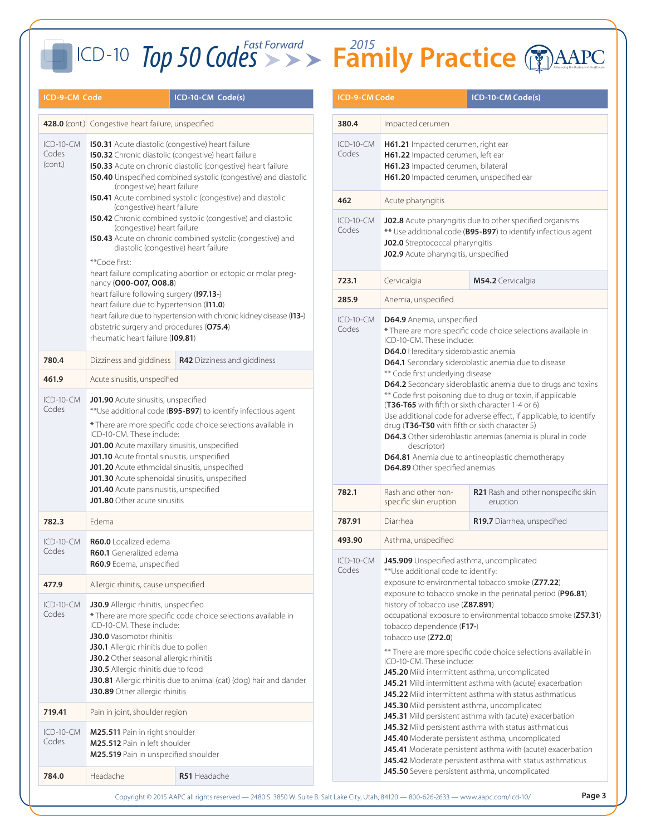### **ICD-9-CM Code ICD-10-CM Code(s) ICD-9-CM Code ICD-10-CM Code(s) 428.0** (cont.) Congestive heart failure, unspecified ICD-10-CM Codes (cont.) **I50.31** Acute diastolic (congestive) heart failure **I50.32** Chronic diastolic (congestive) heart failure **I50.33** Acute on chronic diastolic (congestive) heart failure **I50.40** Unspecified combined systolic (congestive) and diastolic (congestive) heart failure **I50.41** Acute combined systolic (congestive) and diastolic (congestive) heart failure **I50.42** Chronic combined systolic (congestive) and diastolic (congestive) heart failure **I50.43** Acute on chronic combined systolic (congestive) and diastolic (congestive) heart failure \*\*Code first: heart failure complicating abortion or ectopic or molar pregnancy (**O00-O07, O08.8**) heart failure following surgery (**I97.13-**) heart failure due to hypertension (**I11.0**) heart failure due to hypertension with chronic kidney disease (**I13-**) obstetric surgery and procedures (**O75.4**) rheumatic heart failure (**I09.81**) **780.4** Dizziness and giddiness **R42** Dizziness and giddiness **461.9** Acute sinusitis, unspecified ICD-10-CM Codes **J01.90** Acute sinusitis, unspecified \*\*Use additional code (**B95-B97**) to identify infectious agent **\*** There are more specific code choice selections available in ICD-10-CM. These include: **J01.00** Acute maxillary sinusitis, unspecified **J01.10** Acute frontal sinusitis, unspecified **J01.20** Acute ethmoidal sinusitis, unspecified **J01.30** Acute sphenoidal sinusitis, unspecified **J01.40** Acute pansinusitis, unspecified **J01.80** Other acute sinusitis **782.3** Edema ICD-10-CM Codes **R60.0** Localized edema **R60.1** Generalized edema **R60.9** Edema, unspecified **477.9** Allergic rhinitis, cause unspecified ICD-10-CM Codes **J30.9** Allergic rhinitis, unspecified **\*** There are more specific code choice selections available in ICD-10-CM. These include: **J30.0** Vasomotor rhinitis **J30.1** Allergic rhinitis due to pollen **J30.2** Other seasonal allergic rhinitis **J30.5** Allergic rhinitis due to food **J30.81** Allergic rhinitis due to animal (cat) (dog) hair and dander **J30.89** Other allergic rhinitis **719.41** Pain in joint, shoulder region ICD-10-CM Codes **M25.511** Pain in right shoulder **M25.512** Pain in left shoulder **M25.519** Pain in unspecified shoulder **784.0** Headache **R51** Headache

## *Top 50 CodesFast Forward* **Family Practice** *<sup>2015</sup>*

| <b>ICD-9-CM Code</b> |                                                                                                                                                                                                                                                                                                                                                                                                                                                                                                                                                                                                                                                                                                                                                                                                                                                                                                                                                                                                                                            | ICD-10-CM Code(s)                               |  |  |  |
|----------------------|--------------------------------------------------------------------------------------------------------------------------------------------------------------------------------------------------------------------------------------------------------------------------------------------------------------------------------------------------------------------------------------------------------------------------------------------------------------------------------------------------------------------------------------------------------------------------------------------------------------------------------------------------------------------------------------------------------------------------------------------------------------------------------------------------------------------------------------------------------------------------------------------------------------------------------------------------------------------------------------------------------------------------------------------|-------------------------------------------------|--|--|--|
| 380.4                | Impacted cerumen                                                                                                                                                                                                                                                                                                                                                                                                                                                                                                                                                                                                                                                                                                                                                                                                                                                                                                                                                                                                                           |                                                 |  |  |  |
| ICD-10-CM<br>Codes   | <b>H61.21</b> Impacted cerumen, right ear<br>H61.22 Impacted cerumen, left ear<br>H61.23 Impacted cerumen, bilateral<br>H61.20 Impacted cerumen, unspecified ear                                                                                                                                                                                                                                                                                                                                                                                                                                                                                                                                                                                                                                                                                                                                                                                                                                                                           |                                                 |  |  |  |
| 462                  | Acute pharyngitis                                                                                                                                                                                                                                                                                                                                                                                                                                                                                                                                                                                                                                                                                                                                                                                                                                                                                                                                                                                                                          |                                                 |  |  |  |
| ICD-10-CM<br>Codes   | J02.8 Acute pharyngitis due to other specified organisms<br>** Use additional code (B95-B97) to identify infectious agent<br>J02.0 Streptococcal pharyngitis<br>J02.9 Acute pharyngitis, unspecified                                                                                                                                                                                                                                                                                                                                                                                                                                                                                                                                                                                                                                                                                                                                                                                                                                       |                                                 |  |  |  |
| 723.1                | Cervicalgia                                                                                                                                                                                                                                                                                                                                                                                                                                                                                                                                                                                                                                                                                                                                                                                                                                                                                                                                                                                                                                | M54.2 Cervicalgia                               |  |  |  |
| 285.9                | Anemia, unspecified                                                                                                                                                                                                                                                                                                                                                                                                                                                                                                                                                                                                                                                                                                                                                                                                                                                                                                                                                                                                                        |                                                 |  |  |  |
| ICD-10-CM<br>Codes   | D64.9 Anemia, unspecified<br>* There are more specific code choice selections available in<br>ICD-10-CM. These include:<br>D64.0 Hereditary sideroblastic anemia<br>D64.1 Secondary sideroblastic anemia due to disease<br>** Code first underlying disease<br>D64.2 Secondary sideroblastic anemia due to drugs and toxins<br>** Code first poisoning due to drug or toxin, if applicable<br>(T36-T65 with fifth or sixth character 1-4 or 6)<br>Use additional code for adverse effect, if applicable, to identify<br>drug (T36-T50 with fifth or sixth character 5)<br>D64.3 Other sideroblastic anemias (anemia is plural in code<br>descriptor)<br>D64.81 Anemia due to antineoplastic chemotherapy<br>D64.89 Other specified anemias                                                                                                                                                                                                                                                                                                 |                                                 |  |  |  |
| 782.1                | Rash and other non-<br>specific skin eruption                                                                                                                                                                                                                                                                                                                                                                                                                                                                                                                                                                                                                                                                                                                                                                                                                                                                                                                                                                                              | R21 Rash and other nonspecific skin<br>eruption |  |  |  |
| 787.91               | Diarrhea<br>R19.7 Diarrhea, unspecified                                                                                                                                                                                                                                                                                                                                                                                                                                                                                                                                                                                                                                                                                                                                                                                                                                                                                                                                                                                                    |                                                 |  |  |  |
| 493.90               | Asthma, unspecified                                                                                                                                                                                                                                                                                                                                                                                                                                                                                                                                                                                                                                                                                                                                                                                                                                                                                                                                                                                                                        |                                                 |  |  |  |
| ICD-10-CM<br>Codes   | J45.909 Unspecified asthma, uncomplicated<br>** Use additional code to identify:<br>exposure to environmental tobacco smoke (Z77.22)<br>exposure to tobacco smoke in the perinatal period (P96.81)<br>history of tobacco use (Z87.891)<br>occupational exposure to environmental tobacco smoke (Z57.31)<br>tobacco dependence (F17-)<br>tobacco use (Z72.0)<br>** There are more specific code choice selections available in<br>ICD-10-CM. These include:<br>J45.20 Mild intermittent asthma, uncomplicated<br>J45.21 Mild intermittent asthma with (acute) exacerbation<br>J45.22 Mild intermittent asthma with status asthmaticus<br>J45.30 Mild persistent asthma, uncomplicated<br>J45.31 Mild persistent asthma with (acute) exacerbation<br>J45.32 Mild persistent asthma with status asthmaticus<br>J45.40 Moderate persistent asthma, uncomplicated<br>J45.41 Moderate persistent asthma with (acute) exacerbation<br>J45.42 Moderate persistent asthma with status asthmaticus<br>J45.50 Severe persistent asthma, uncomplicated |                                                 |  |  |  |

Copyright © 2015 AAPC all rights reserved — 2480 S. 3850 W. Suite B. Salt Lake City, Utah, 84120 — 800-626-2633 — www.aapc.com/icd-10/ **Page 3**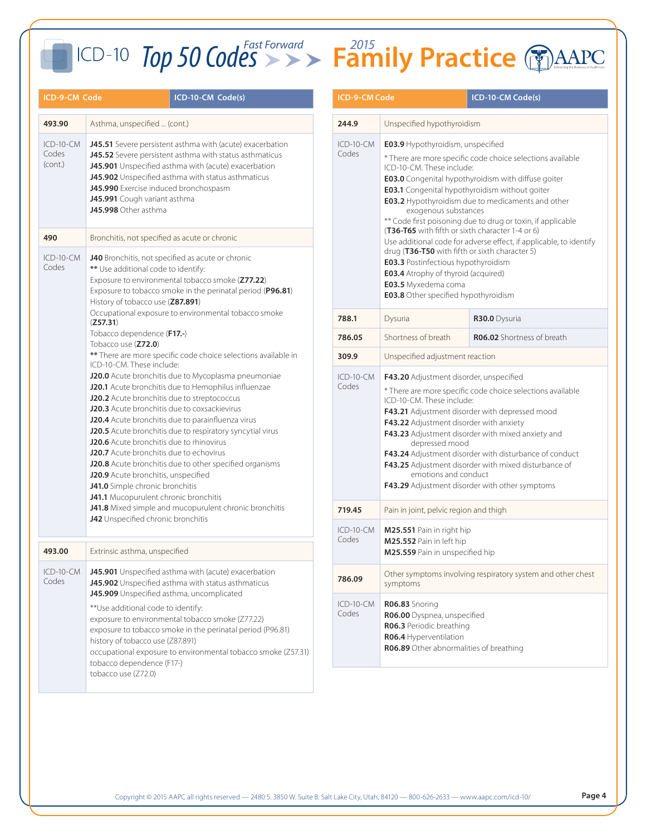| ICD-9-CM Code                                                                                                                                                                                                                                                                                                                                                          |                                                                                                                                                                                                                                                                                                                                                                                                                                                                                                                                                                                                         | <b>ICD-10-CM Code(s)</b>                                                                                                                                | ICD-9-CM Code                                                                                                                                                                                                                                                                                                                                                                                                                                          |                                                                                                                                                                                                                                                                                                                    | <b>ICD-10-CM Code(s)</b> |
|------------------------------------------------------------------------------------------------------------------------------------------------------------------------------------------------------------------------------------------------------------------------------------------------------------------------------------------------------------------------|---------------------------------------------------------------------------------------------------------------------------------------------------------------------------------------------------------------------------------------------------------------------------------------------------------------------------------------------------------------------------------------------------------------------------------------------------------------------------------------------------------------------------------------------------------------------------------------------------------|---------------------------------------------------------------------------------------------------------------------------------------------------------|--------------------------------------------------------------------------------------------------------------------------------------------------------------------------------------------------------------------------------------------------------------------------------------------------------------------------------------------------------------------------------------------------------------------------------------------------------|--------------------------------------------------------------------------------------------------------------------------------------------------------------------------------------------------------------------------------------------------------------------------------------------------------------------|--------------------------|
| 493.90                                                                                                                                                                                                                                                                                                                                                                 | Asthma, unspecified  (cont.)                                                                                                                                                                                                                                                                                                                                                                                                                                                                                                                                                                            |                                                                                                                                                         | 244.9                                                                                                                                                                                                                                                                                                                                                                                                                                                  | Unspecified hypothyroidism                                                                                                                                                                                                                                                                                         |                          |
| $ICD-10-CM$<br>J45.51 Severe persistent asthma with (acute) exacerbation<br>Codes<br>J45.52 Severe persistent asthma with status asthmaticus<br>(cont.)<br>J45.901 Unspecified asthma with (acute) exacerbation<br>J45.902 Unspecified asthma with status asthmaticus<br>J45.990 Exercise induced bronchospasm<br>J45.991 Cough variant asthma<br>J45.998 Other asthma |                                                                                                                                                                                                                                                                                                                                                                                                                                                                                                                                                                                                         | ICD-10-CM<br>Codes                                                                                                                                      | E03.9 Hypothyroidism, unspecified<br>* There are more specific code choice selectio<br>ICD-10-CM. These include:<br><b>E03.0</b> Congenital hypothyroidism with diffuse<br>E03.1 Congenital hypothyroidism without goi<br>E03.2 Hypothyroidism due to medicaments a<br>exogenous substances<br>** Code first poisoning due to drug or toxin, if                                                                                                        |                                                                                                                                                                                                                                                                                                                    |                          |
| 490<br>$ICD-10-CM$<br>Codes                                                                                                                                                                                                                                                                                                                                            | Bronchitis, not specified as acute or chronic<br>J40 Bronchitis, not specified as acute or chronic<br>** Use additional code to identify:<br>Exposure to environmental tobacco smoke (Z77.22)<br>Exposure to tobacco smoke in the perinatal period (P96.81)<br>History of tobacco use (Z87.891)                                                                                                                                                                                                                                                                                                         |                                                                                                                                                         |                                                                                                                                                                                                                                                                                                                                                                                                                                                        | (T36-T65 with fifth or sixth character 1-4 or 6)<br>Use additional code for adverse effect, if applie<br>drug (T36-T50 with fifth or sixth character 5)<br><b>E03.3</b> Postinfectious hypothyroidism<br><b>E03.4</b> Atrophy of thyroid (acquired)<br>E03.5 Myxedema coma<br>E03.8 Other specified hypothyroidism |                          |
|                                                                                                                                                                                                                                                                                                                                                                        | (Z57.31)                                                                                                                                                                                                                                                                                                                                                                                                                                                                                                                                                                                                | Occupational exposure to environmental tobacco smoke                                                                                                    | 788.1                                                                                                                                                                                                                                                                                                                                                                                                                                                  | Dysuria                                                                                                                                                                                                                                                                                                            | R30.0 Dysuria            |
|                                                                                                                                                                                                                                                                                                                                                                        | Tobacco dependence (F17 .- )<br>Tobacco use (Z72.0)                                                                                                                                                                                                                                                                                                                                                                                                                                                                                                                                                     |                                                                                                                                                         | 786.05                                                                                                                                                                                                                                                                                                                                                                                                                                                 | Shortness of breath                                                                                                                                                                                                                                                                                                | R06.02 Shortness o       |
|                                                                                                                                                                                                                                                                                                                                                                        | ICD-10-CM. These include:                                                                                                                                                                                                                                                                                                                                                                                                                                                                                                                                                                               | ** There are more specific code choice selections available in                                                                                          | 309.9                                                                                                                                                                                                                                                                                                                                                                                                                                                  | Unspecified adjustment reaction                                                                                                                                                                                                                                                                                    |                          |
|                                                                                                                                                                                                                                                                                                                                                                        | J20.0 Acute bronchitis due to Mycoplasma pneumoniae<br>J20.1 Acute bronchitis due to Hemophilus influenzae<br>J20.2 Acute bronchitis due to streptococcus<br>J20.3 Acute bronchitis due to coxsackievirus<br>J20.4 Acute bronchitis due to parainfluenza virus<br>J20.5 Acute bronchitis due to respiratory syncytial virus<br>J20.6 Acute bronchitis due to rhinovirus<br><b>J20.7</b> Acute bronchitis due to echovirus<br>J20.8 Acute bronchitis due to other specified organisms<br>J20.9 Acute bronchitis, unspecified<br>J41.0 Simple chronic bronchitis<br>J41.1 Mucopurulent chronic bronchitis | $ICD-10-CM$<br>Codes                                                                                                                                    | F43.20 Adjustment disorder, unspecified<br>* There are more specific code choice selectio<br>ICD-10-CM. These include:<br>F43.21 Adjustment disorder with depressed n<br>F43.22 Adjustment disorder with anxiety<br>F43.23 Adjustment disorder with mixed anxie<br>depressed mood<br>F43.24 Adjustment disorder with disturbance<br>F43.25 Adjustment disorder with mixed distu<br>emotions and conduct<br>F43.29 Adjustment disorder with other sympt |                                                                                                                                                                                                                                                                                                                    |                          |
|                                                                                                                                                                                                                                                                                                                                                                        |                                                                                                                                                                                                                                                                                                                                                                                                                                                                                                                                                                                                         | J41.8 Mixed simple and mucopurulent chronic bronchitis                                                                                                  | 719.45                                                                                                                                                                                                                                                                                                                                                                                                                                                 | Pain in joint, pelvic region and thigh                                                                                                                                                                                                                                                                             |                          |
| 493.00                                                                                                                                                                                                                                                                                                                                                                 | J42 Unspecified chronic bronchitis<br>Extrinsic asthma, unspecified                                                                                                                                                                                                                                                                                                                                                                                                                                                                                                                                     |                                                                                                                                                         | ICD-10-CM<br>Codes                                                                                                                                                                                                                                                                                                                                                                                                                                     | M25.551 Pain in right hip<br>M25.552 Pain in left hip<br>M25.559 Pain in unspecified hip                                                                                                                                                                                                                           |                          |
| ICD-10-CM<br>Codes                                                                                                                                                                                                                                                                                                                                                     |                                                                                                                                                                                                                                                                                                                                                                                                                                                                                                                                                                                                         | J45.901 Unspecified asthma with (acute) exacerbation<br>J45.902 Unspecified asthma with status asthmaticus<br>J45.909 Unspecified asthma, uncomplicated | 786.09                                                                                                                                                                                                                                                                                                                                                                                                                                                 | Other symptoms involving respiratory system<br>symptoms                                                                                                                                                                                                                                                            |                          |
| ** Use additional code to identify:<br>exposure to environmental tobacco smoke (Z77.22)<br>exposure to tobacco smoke in the perinatal period (P96.81)<br>history of tobacco use (Z87.891)<br>occupational exposure to environmental tobacco smoke (Z57.31)<br>tobacco dependence (F17-)<br>tobacco use (Z72.0)                                                         |                                                                                                                                                                                                                                                                                                                                                                                                                                                                                                                                                                                                         |                                                                                                                                                         | $ICD-10-CM$<br>Codes                                                                                                                                                                                                                                                                                                                                                                                                                                   | R06.83 Snoring<br>R06.00 Dyspnea, unspecified<br>R06.3 Periodic breathing<br>R06.4 Hyperventilation<br>R06.89 Other abnormalities of breathing                                                                                                                                                                     |                          |

| <b>ICD-9-CM Code</b> |                                                                                                                                                                                                                                                                                                                                                                                                                                                                                                                                                                                                                                                                                                                                        | ICD-10-CM Code(s) |  |  |
|----------------------|----------------------------------------------------------------------------------------------------------------------------------------------------------------------------------------------------------------------------------------------------------------------------------------------------------------------------------------------------------------------------------------------------------------------------------------------------------------------------------------------------------------------------------------------------------------------------------------------------------------------------------------------------------------------------------------------------------------------------------------|-------------------|--|--|
| 244.9                | Unspecified hypothyroidism                                                                                                                                                                                                                                                                                                                                                                                                                                                                                                                                                                                                                                                                                                             |                   |  |  |
| ICD-10-CM<br>Codes   | <b>E03.9</b> Hypothyroidism, unspecified<br>* There are more specific code choice selections available<br>ICD-10-CM. These include:<br>E03.0 Congenital hypothyroidism with diffuse goiter<br>E03.1 Congenital hypothyroidism without goiter<br><b>E03.2</b> Hypothyroidism due to medicaments and other<br>exogenous substances<br>** Code first poisoning due to drug or toxin, if applicable<br>(T36-T65 with fifth or sixth character 1-4 or 6)<br>Use additional code for adverse effect, if applicable, to identify<br>drug (T36-T50 with fifth or sixth character 5)<br><b>E03.3</b> Postinfectious hypothyroidism<br><b>E03.4</b> Atrophy of thyroid (acquired)<br>E03.5 Myxedema coma<br>E03.8 Other specified hypothyroidism |                   |  |  |
| 788.1                | Dysuria<br>R30.0 Dysuria                                                                                                                                                                                                                                                                                                                                                                                                                                                                                                                                                                                                                                                                                                               |                   |  |  |
| 786.05               | Shortness of breath<br><b>R06.02</b> Shortness of breath                                                                                                                                                                                                                                                                                                                                                                                                                                                                                                                                                                                                                                                                               |                   |  |  |
| 309.9                | Unspecified adjustment reaction                                                                                                                                                                                                                                                                                                                                                                                                                                                                                                                                                                                                                                                                                                        |                   |  |  |
| ICD-10-CM<br>Codes   | F43.20 Adjustment disorder, unspecified<br>* There are more specific code choice selections available<br>ICD-10-CM. These include:<br>F43.21 Adjustment disorder with depressed mood<br>F43.22 Adjustment disorder with anxiety<br>F43.23 Adjustment disorder with mixed anxiety and<br>depressed mood<br>F43.24 Adjustment disorder with disturbance of conduct<br>F43.25 Adjustment disorder with mixed disturbance of<br>emotions and conduct<br>F43.29 Adjustment disorder with other symptoms                                                                                                                                                                                                                                     |                   |  |  |
| 719.45               | Pain in joint, pelvic region and thigh                                                                                                                                                                                                                                                                                                                                                                                                                                                                                                                                                                                                                                                                                                 |                   |  |  |
| $ICD-10-CM$<br>Codes | M25.551 Pain in right hip<br>M25.552 Pain in left hip<br>M25.559 Pain in unspecified hip                                                                                                                                                                                                                                                                                                                                                                                                                                                                                                                                                                                                                                               |                   |  |  |
| 786.09               | Other symptoms involving respiratory system and other chest<br>symptoms                                                                                                                                                                                                                                                                                                                                                                                                                                                                                                                                                                                                                                                                |                   |  |  |
| ICD-10-CM<br>Codes   | R06.83 Snoring<br>R06.00 Dyspnea, unspecified<br>R06.3 Periodic breathing<br>R06.4 Hyperventilation<br>R06.89 Other abnormalities of breathing                                                                                                                                                                                                                                                                                                                                                                                                                                                                                                                                                                                         |                   |  |  |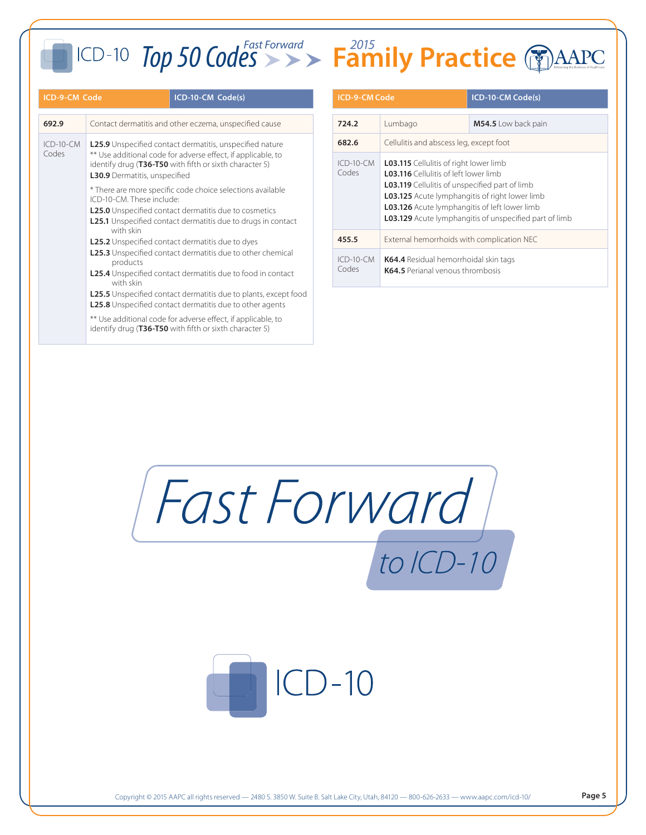### **ICD-9-CM Code ICD-10-CM Code(s) ICD-9-CM Code ICD-10-CM Code(s) 692.9** Contact dermatitis and other eczema, unspecified cause ICD-10-CM Codes **L25.9** Unspecified contact dermatitis, unspecified nature \*\* Use additional code for adverse effect, if applicable, to identify drug (**T36-T50** with fifth or sixth character 5) **L30.9** Dermatitis, unspecified \* There are more specific code choice selections available ICD-10-CM. These include: **L25.0** Unspecified contact dermatitis due to cosmetics **L25.1** Unspecified contact dermatitis due to drugs in contact with skin **L25.2** Unspecified contact dermatitis due to dyes **L25.3** Unspecified contact dermatitis due to other chemical products **L25.4** Unspecified contact dermatitis due to food in contact with skin **L25.5** Unspecified contact dermatitis due to plants, except food **L25.8** Unspecified contact dermatitis due to other agents \*\* Use additional code for adverse effect, if applicable, to identify drug (**T36-T50** with fifth or sixth character 5)

| <b>ICD-9-CM Code</b> |                                                                                                                                                                                                                                                                                                                                          | ICD-10-CM Code(s)     |  |
|----------------------|------------------------------------------------------------------------------------------------------------------------------------------------------------------------------------------------------------------------------------------------------------------------------------------------------------------------------------------|-----------------------|--|
| 724.2                | Lumbago                                                                                                                                                                                                                                                                                                                                  | $M54.5$ Low back pain |  |
| 682.6                | Cellulitis and abscess leg, except foot                                                                                                                                                                                                                                                                                                  |                       |  |
| $ICD-10-CM$<br>Codes | <b>L03.115</b> Cellulitis of right lower limb<br><b>L03.116</b> Cellulitis of left lower limb<br><b>L03.119</b> Cellulitis of unspecified part of limb<br><b>L03.125</b> Acute lymphangitis of right lower limb<br><b>L03.126</b> Acute lymphangitis of left lower limb<br><b>L03.129</b> Acute lymphangitis of unspecified part of limb |                       |  |
| 455.5                | External hemorrhoids with complication NEC                                                                                                                                                                                                                                                                                               |                       |  |
| $ICD-10-CM$<br>Codes | K64.4 Residual hemorrhoidal skin tags<br>K64.5 Perjanal venous thrombosis                                                                                                                                                                                                                                                                |                       |  |